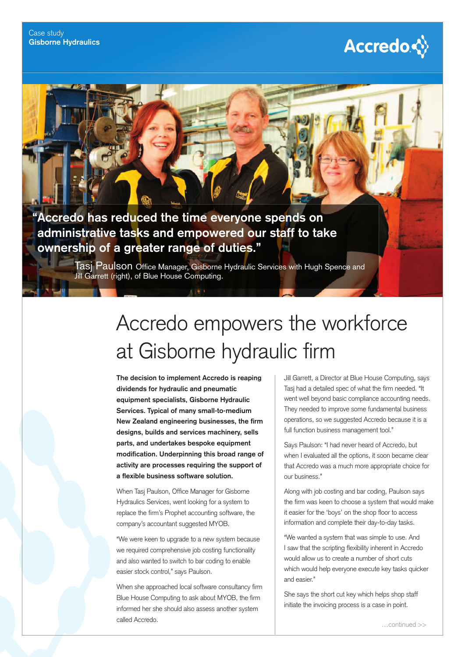# **Accredo☆**

## **" Accredo has reduced the time everyone spends on administrative tasks and empowered our staff to take ownership of a greater range of duties."**

Tasj Paulson Office Manager, Gisborne Hydraulic Services with Hugh Spence and Jill Garrett (right), of Blue House Computing.

# Accredo empowers the workforce at Gisborne hydraulic firm

**The decision to implement Accredo is reaping dividends for hydraulic and pneumatic equipment specialists, Gisborne Hydraulic Services. Typical of many small-to-medium New Zealand engineering businesses, the firm designs, builds and services machinery, sells parts, and undertakes bespoke equipment**  modification. Underpinning this broad range of **activity are processes requiring the support of a flexible business software solution.** 

When Tasj Paulson, Office Manager for Gisborne Hydraulics Services, went looking for a system to replace the firm's Prophet accounting software, the company's accountant suggested MYOB.

"We were keen to upgrade to a new system because we required comprehensive job costing functionality and also wanted to switch to bar coding to enable easier stock control," says Paulson.

When she approached local software consultancy firm Blue House Computing to ask about MYOB, the firm informed her she should also assess another system called Accredo.

Jill Garrett, a Director at Blue House Computing, says Tasj had a detailed spec of what the firm needed. "It went well beyond basic compliance accounting needs. They needed to improve some fundamental business operations, so we suggested Accredo because it is a full function business management tool."

Says Paulson: "I had never heard of Accredo, but when I evaluated all the options, it soon became clear that Accredo was a much more appropriate choice for our business."

Along with job costing and bar coding, Paulson says the firm was keen to choose a system that would make it easier for the 'boys' on the shop floor to access information and complete their day-to-day tasks.

"We wanted a system that was simple to use. And I saw that the scripting flexibility inherent in Accredo would allow us to create a number of short cuts which would help everyone execute key tasks quicker and easier."

She says the short cut key which helps shop staff initiate the invoicing process is a case in point.